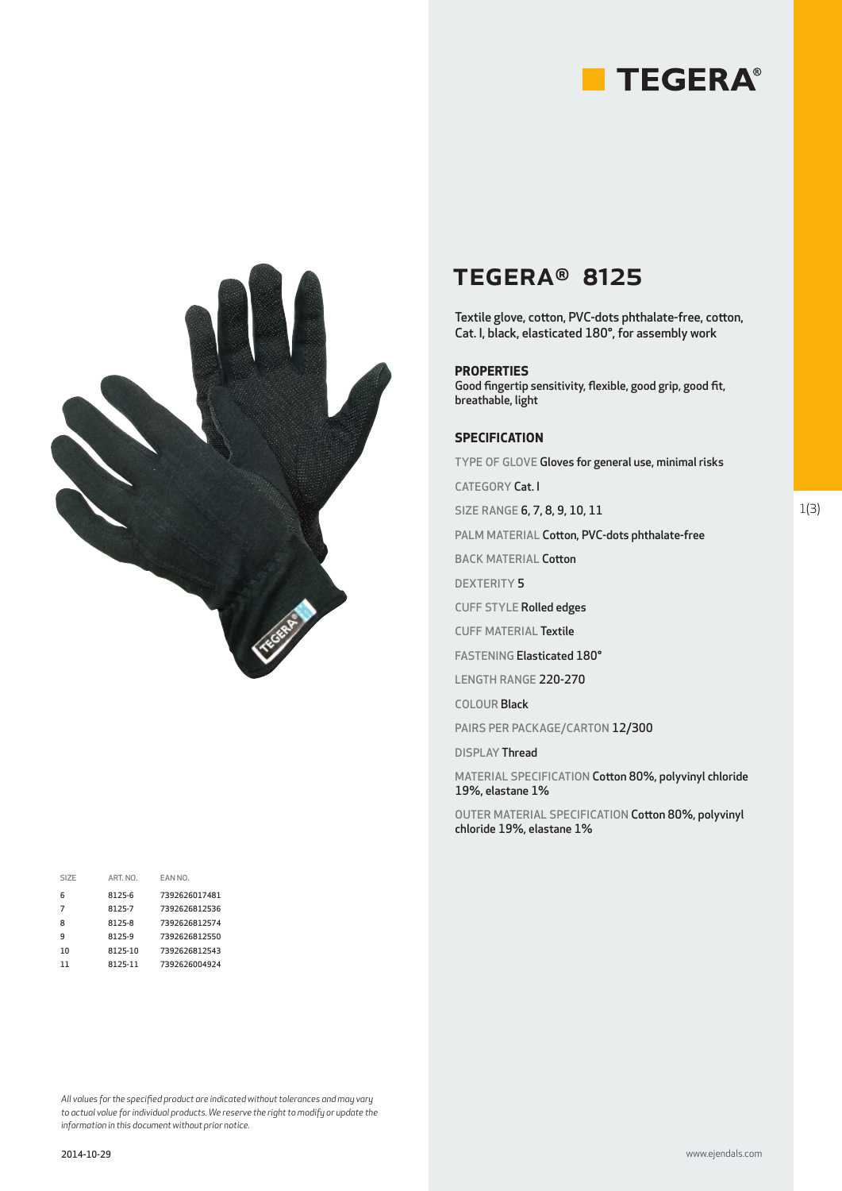



| SIZE | ART. NO. | EAN NO.       |
|------|----------|---------------|
| 6    | 8125-6   | 7392626017481 |
| 7    | 8125-7   | 7392626812536 |
| 8    | 8125-8   | 7392626812574 |
| q    | 8125-9   | 7392626812550 |
| 10   | 8125-10  | 7392626812543 |
| 11   | 8125-11  | 7392626004924 |

#### *All values for the specified product are indicated without tolerances and may vary to actual value for individual products. We reserve the right to modify or update the information in this document without prior notice.*

## TEGERA® 8125

Textile glove, cotton, PVC-dots phthalate-free, cotton, Cat. I, black, elasticated 180°, for assembly work

### **PROPERTIES**

Good fingertip sensitivity, flexible, good grip, good fit, breathable, light

### **SPECIFICATION**

TYPE OF GLOVE Gloves for general use, minimal risks

CATEGORY Cat. I

SIZE RANGE 6, 7, 8, 9, 10, 11

PALM MATERIAL Cotton, PVC-dots phthalate-free

BACK MATERIAL Cotton

DEXTERITY 5

CUFF STYLE Rolled edges

CUFF MATERIAL Textile

FASTENING Elasticated 180°

LENGTH RANGE 220-270

COLOUR Black

PAIRS PER PACKAGE/CARTON 12/300

DISPLAY Thread

MATERIAL SPECIFICATION Cotton 80%, polyvinyl chloride 19%, elastane 1%

OUTER MATERIAL SPECIFICATION Cotton 80%, polyvinyl chloride 19%, elastane 1%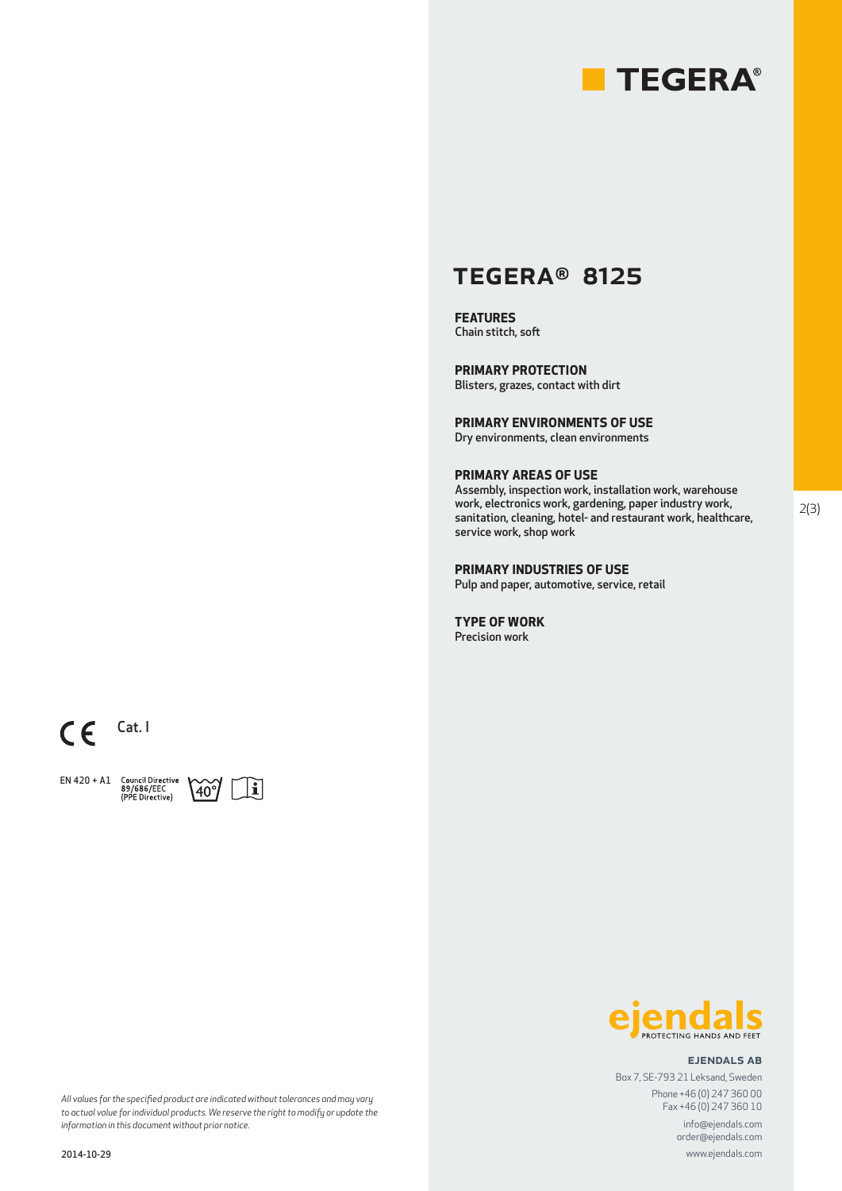

### TEGERA® 8125

**FEATURES** Chain stitch, soft

**PRIMARY PROTECTION** Blisters, grazes, contact with dirt

**PRIMARY ENVIRONMENTS OF USE** Dry environments, clean environments

**PRIMARY AREAS OF USE**

Assembly, inspection work, installation work, warehouse work, electronics work, gardening, paper industry work, sanitation, cleaning, hotel- and restaurant work, healthcare, service work, shop work

**PRIMARY INDUSTRIES OF USE** Pulp and paper, automotive, service, retail

**TYPE OF WORK** Precision work

 $CE$  Cat. I

EN 420 + A1 Council Directive<br>89/686/EEC<br>(PPE Directive)





### ejendals ab

Box 7, SE-793 21 Leksand, Sweden Phone +46 (0) 247 360 00 Fax +46 (0) 247 360 10

info@ejendals.com order@ejendals.com

www.ejendals.com

*All values for the specified product are indicated without tolerances and may vary to actual value for individual products. We reserve the right to modify or update the information in this document without prior notice.*